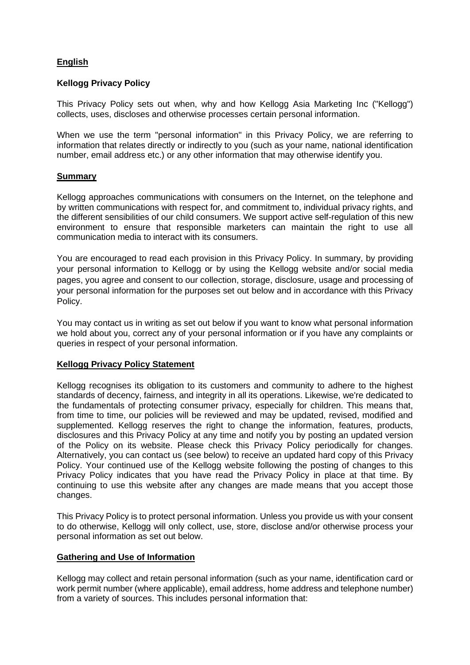# **English**

## **Kellogg Privacy Policy**

This Privacy Policy sets out when, why and how Kellogg Asia Marketing Inc ("Kellogg") collects, uses, discloses and otherwise processes certain personal information.

When we use the term "personal information" in this Privacy Policy, we are referring to information that relates directly or indirectly to you (such as your name, national identification number, email address etc.) or any other information that may otherwise identify you.

### **Summary**

Kellogg approaches communications with consumers on the Internet, on the telephone and by written communications with respect for, and commitment to, individual privacy rights, and the different sensibilities of our child consumers. We support active self-regulation of this new environment to ensure that responsible marketers can maintain the right to use all communication media to interact with its consumers.

You are encouraged to read each provision in this Privacy Policy. In summary, by providing your personal information to Kellogg or by using the Kellogg website and/or social media pages, you agree and consent to our collection, storage, disclosure, usage and processing of your personal information for the purposes set out below and in accordance with this Privacy Policy.

You may contact us in writing as set out below if you want to know what personal information we hold about you, correct any of your personal information or if you have any complaints or queries in respect of your personal information.

## **Kellogg Privacy Policy Statement**

Kellogg recognises its obligation to its customers and community to adhere to the highest standards of decency, fairness, and integrity in all its operations. Likewise, we're dedicated to the fundamentals of protecting consumer privacy, especially for children. This means that, from time to time, our policies will be reviewed and may be updated, revised, modified and supplemented. Kellogg reserves the right to change the information, features, products, disclosures and this Privacy Policy at any time and notify you by posting an updated version of the Policy on its website. Please check this Privacy Policy periodically for changes. Alternatively, you can contact us (see below) to receive an updated hard copy of this Privacy Policy. Your continued use of the Kellogg website following the posting of changes to this Privacy Policy indicates that you have read the Privacy Policy in place at that time. By continuing to use this website after any changes are made means that you accept those changes.

This Privacy Policy is to protect personal information. Unless you provide us with your consent to do otherwise, Kellogg will only collect, use, store, disclose and/or otherwise process your personal information as set out below.

#### **Gathering and Use of Information**

Kellogg may collect and retain personal information (such as your name, identification card or work permit number (where applicable), email address, home address and telephone number) from a variety of sources. This includes personal information that: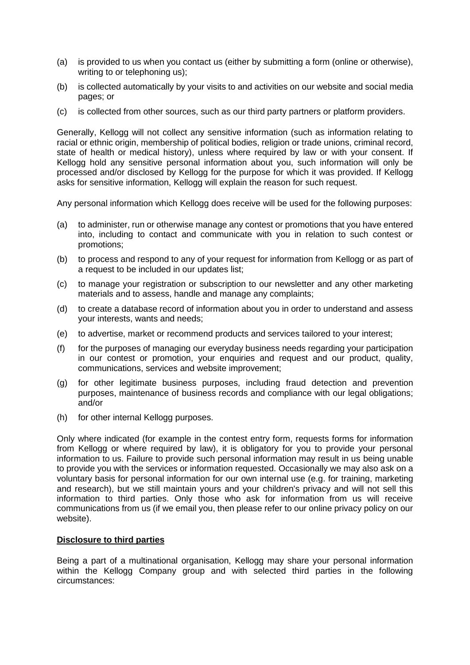- (a) is provided to us when you contact us (either by submitting a form (online or otherwise), writing to or telephoning us);
- (b) is collected automatically by your visits to and activities on our website and social media pages; or
- (c) is collected from other sources, such as our third party partners or platform providers.

Generally, Kellogg will not collect any sensitive information (such as information relating to racial or ethnic origin, membership of political bodies, religion or trade unions, criminal record, state of health or medical history), unless where required by law or with your consent. If Kellogg hold any sensitive personal information about you, such information will only be processed and/or disclosed by Kellogg for the purpose for which it was provided. If Kellogg asks for sensitive information, Kellogg will explain the reason for such request.

Any personal information which Kellogg does receive will be used for the following purposes:

- (a) to administer, run or otherwise manage any contest or promotions that you have entered into, including to contact and communicate with you in relation to such contest or promotions;
- (b) to process and respond to any of your request for information from Kellogg or as part of a request to be included in our updates list;
- (c) to manage your registration or subscription to our newsletter and any other marketing materials and to assess, handle and manage any complaints;
- (d) to create a database record of information about you in order to understand and assess your interests, wants and needs;
- (e) to advertise, market or recommend products and services tailored to your interest;
- (f) for the purposes of managing our everyday business needs regarding your participation in our contest or promotion, your enquiries and request and our product, quality, communications, services and website improvement;
- (g) for other legitimate business purposes, including fraud detection and prevention purposes, maintenance of business records and compliance with our legal obligations; and/or
- (h) for other internal Kellogg purposes.

Only where indicated (for example in the contest entry form, requests forms for information from Kellogg or where required by law), it is obligatory for you to provide your personal information to us. Failure to provide such personal information may result in us being unable to provide you with the services or information requested. Occasionally we may also ask on a voluntary basis for personal information for our own internal use (e.g. for training, marketing and research), but we still maintain yours and your children's privacy and will not sell this information to third parties. Only those who ask for information from us will receive communications from us (if we email you, then please refer to our online privacy policy on our website).

#### **Disclosure to third parties**

Being a part of a multinational organisation, Kellogg may share your personal information within the Kellogg Company group and with selected third parties in the following circumstances: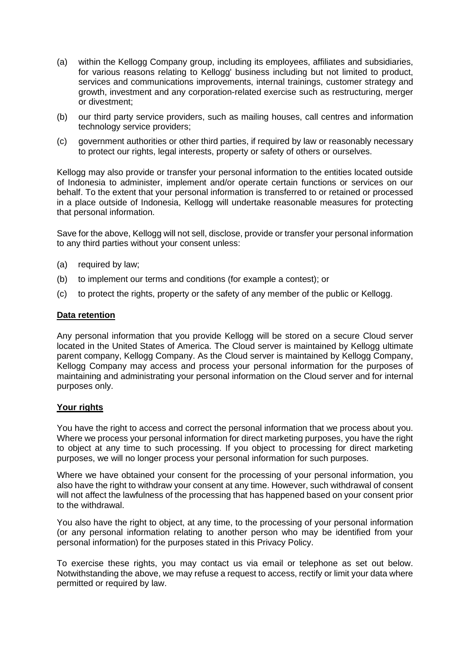- (a) within the Kellogg Company group, including its employees, affiliates and subsidiaries, for various reasons relating to Kellogg' business including but not limited to product, services and communications improvements, internal trainings, customer strategy and growth, investment and any corporation-related exercise such as restructuring, merger or divestment;
- (b) our third party service providers, such as mailing houses, call centres and information technology service providers;
- (c) government authorities or other third parties, if required by law or reasonably necessary to protect our rights, legal interests, property or safety of others or ourselves.

Kellogg may also provide or transfer your personal information to the entities located outside of Indonesia to administer, implement and/or operate certain functions or services on our behalf. To the extent that your personal information is transferred to or retained or processed in a place outside of Indonesia, Kellogg will undertake reasonable measures for protecting that personal information.

Save for the above, Kellogg will not sell, disclose, provide or transfer your personal information to any third parties without your consent unless:

- (a) required by law;
- (b) to implement our terms and conditions (for example a contest); or
- (c) to protect the rights, property or the safety of any member of the public or Kellogg.

#### **Data retention**

Any personal information that you provide Kellogg will be stored on a secure Cloud server located in the United States of America. The Cloud server is maintained by Kellogg ultimate parent company, Kellogg Company. As the Cloud server is maintained by Kellogg Company, Kellogg Company may access and process your personal information for the purposes of maintaining and administrating your personal information on the Cloud server and for internal purposes only.

## **Your rights**

You have the right to access and correct the personal information that we process about you. Where we process your personal information for direct marketing purposes, you have the right to object at any time to such processing. If you object to processing for direct marketing purposes, we will no longer process your personal information for such purposes.

Where we have obtained your consent for the processing of your personal information, you also have the right to withdraw your consent at any time. However, such withdrawal of consent will not affect the lawfulness of the processing that has happened based on your consent prior to the withdrawal.

You also have the right to object, at any time, to the processing of your personal information (or any personal information relating to another person who may be identified from your personal information) for the purposes stated in this Privacy Policy.

To exercise these rights, you may contact us via email or telephone as set out below. Notwithstanding the above, we may refuse a request to access, rectify or limit your data where permitted or required by law.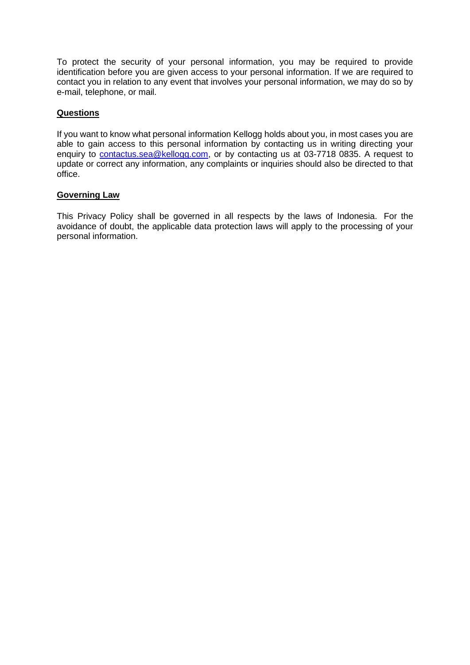To protect the security of your personal information, you may be required to provide identification before you are given access to your personal information. If we are required to contact you in relation to any event that involves your personal information, we may do so by e-mail, telephone, or mail.

# **Questions**

If you want to know what personal information Kellogg holds about you, in most cases you are able to gain access to this personal information by contacting us in writing directing your enquiry to [contactus.sea@kellogg.com,](mailto:contactus.sea@kellogg.com) or by contacting us at 03-7718 0835. A request to update or correct any information, any complaints or inquiries should also be directed to that office.

## **Governing Law**

This Privacy Policy shall be governed in all respects by the laws of Indonesia. For the avoidance of doubt, the applicable data protection laws will apply to the processing of your personal information.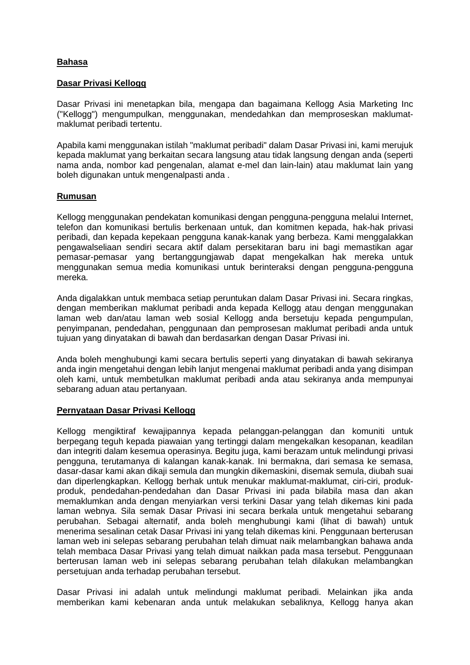## **Bahasa**

### **Dasar Privasi Kellogg**

Dasar Privasi ini menetapkan bila, mengapa dan bagaimana Kellogg Asia Marketing Inc ("Kellogg") mengumpulkan, menggunakan, mendedahkan dan memproseskan maklumatmaklumat peribadi tertentu.

Apabila kami menggunakan istilah "maklumat peribadi" dalam Dasar Privasi ini, kami merujuk kepada maklumat yang berkaitan secara langsung atau tidak langsung dengan anda (seperti nama anda, nombor kad pengenalan, alamat e-mel dan lain-lain) atau maklumat lain yang boleh digunakan untuk mengenalpasti anda .

### **Rumusan**

Kellogg menggunakan pendekatan komunikasi dengan pengguna-pengguna melalui Internet, telefon dan komunikasi bertulis berkenaan untuk, dan komitmen kepada, hak-hak privasi peribadi, dan kepada kepekaan pengguna kanak-kanak yang berbeza. Kami menggalakkan pengawalseliaan sendiri secara aktif dalam persekitaran baru ini bagi memastikan agar pemasar-pemasar yang bertanggungjawab dapat mengekalkan hak mereka untuk menggunakan semua media komunikasi untuk berinteraksi dengan pengguna-pengguna mereka.

Anda digalakkan untuk membaca setiap peruntukan dalam Dasar Privasi ini. Secara ringkas, dengan memberikan maklumat peribadi anda kepada Kellogg atau dengan menggunakan laman web dan/atau laman web sosial Kellogg anda bersetuju kepada pengumpulan, penyimpanan, pendedahan, penggunaan dan pemprosesan maklumat peribadi anda untuk tujuan yang dinyatakan di bawah dan berdasarkan dengan Dasar Privasi ini.

Anda boleh menghubungi kami secara bertulis seperti yang dinyatakan di bawah sekiranya anda ingin mengetahui dengan lebih lanjut mengenai maklumat peribadi anda yang disimpan oleh kami, untuk membetulkan maklumat peribadi anda atau sekiranya anda mempunyai sebarang aduan atau pertanyaan.

#### **Pernyataan Dasar Privasi Kellogg**

Kellogg mengiktiraf kewajipannya kepada pelanggan-pelanggan dan komuniti untuk berpegang teguh kepada piawaian yang tertinggi dalam mengekalkan kesopanan, keadilan dan integriti dalam kesemua operasinya. Begitu juga, kami berazam untuk melindungi privasi pengguna, terutamanya di kalangan kanak-kanak. Ini bermakna, dari semasa ke semasa, dasar-dasar kami akan dikaji semula dan mungkin dikemaskini, disemak semula, diubah suai dan diperlengkapkan. Kellogg berhak untuk menukar maklumat-maklumat, ciri-ciri, produkproduk, pendedahan-pendedahan dan Dasar Privasi ini pada bilabila masa dan akan memaklumkan anda dengan menyiarkan versi terkini Dasar yang telah dikemas kini pada laman webnya. Sila semak Dasar Privasi ini secara berkala untuk mengetahui sebarang perubahan. Sebagai alternatif, anda boleh menghubungi kami (lihat di bawah) untuk menerima sesalinan cetak Dasar Privasi ini yang telah dikemas kini. Penggunaan berterusan laman web ini selepas sebarang perubahan telah dimuat naik melambangkan bahawa anda telah membaca Dasar Privasi yang telah dimuat naikkan pada masa tersebut. Penggunaan berterusan laman web ini selepas sebarang perubahan telah dilakukan melambangkan persetujuan anda terhadap perubahan tersebut.

Dasar Privasi ini adalah untuk melindungi maklumat peribadi. Melainkan jika anda memberikan kami kebenaran anda untuk melakukan sebaliknya, Kellogg hanya akan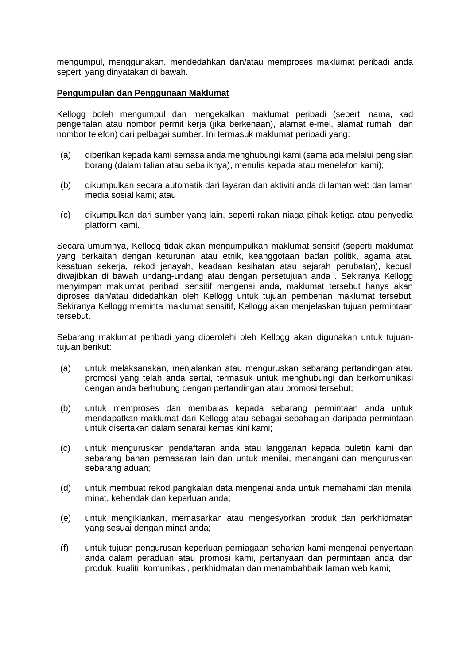mengumpul, menggunakan, mendedahkan dan/atau memproses maklumat peribadi anda seperti yang dinyatakan di bawah.

### **Pengumpulan dan Penggunaan Maklumat**

Kellogg boleh mengumpul dan mengekalkan maklumat peribadi (seperti nama, kad pengenalan atau nombor permit kerja (jika berkenaan), alamat e-mel, alamat rumah dan nombor telefon) dari pelbagai sumber. Ini termasuk maklumat peribadi yang:

- (a) diberikan kepada kami semasa anda menghubungi kami (sama ada melalui pengisian borang (dalam talian atau sebaliknya), menulis kepada atau menelefon kami);
- (b) dikumpulkan secara automatik dari layaran dan aktiviti anda di laman web dan laman media sosial kami; atau
- (c) dikumpulkan dari sumber yang lain, seperti rakan niaga pihak ketiga atau penyedia platform kami.

Secara umumnya, Kellogg tidak akan mengumpulkan maklumat sensitif (seperti maklumat yang berkaitan dengan keturunan atau etnik, keanggotaan badan politik, agama atau kesatuan sekerja, rekod jenayah, keadaan kesihatan atau sejarah perubatan), kecuali diwajibkan di bawah undang-undang atau dengan persetujuan anda . Sekiranya Kellogg menyimpan maklumat peribadi sensitif mengenai anda, maklumat tersebut hanya akan diproses dan/atau didedahkan oleh Kellogg untuk tujuan pemberian maklumat tersebut. Sekiranya Kellogg meminta maklumat sensitif, Kellogg akan menjelaskan tujuan permintaan tersebut.

Sebarang maklumat peribadi yang diperolehi oleh Kellogg akan digunakan untuk tujuantujuan berikut:

- (a) untuk melaksanakan, menjalankan atau menguruskan sebarang pertandingan atau promosi yang telah anda sertai, termasuk untuk menghubungi dan berkomunikasi dengan anda berhubung dengan pertandingan atau promosi tersebut;
- (b) untuk memproses dan membalas kepada sebarang permintaan anda untuk mendapatkan maklumat dari Kellogg atau sebagai sebahagian daripada permintaan untuk disertakan dalam senarai kemas kini kami;
- (c) untuk menguruskan pendaftaran anda atau langganan kepada buletin kami dan sebarang bahan pemasaran lain dan untuk menilai, menangani dan menguruskan sebarang aduan;
- (d) untuk membuat rekod pangkalan data mengenai anda untuk memahami dan menilai minat, kehendak dan keperluan anda;
- (e) untuk mengiklankan, memasarkan atau mengesyorkan produk dan perkhidmatan yang sesuai dengan minat anda;
- (f) untuk tujuan pengurusan keperluan perniagaan seharian kami mengenai penyertaan anda dalam peraduan atau promosi kami, pertanyaan dan permintaan anda dan produk, kualiti, komunikasi, perkhidmatan dan menambahbaik laman web kami;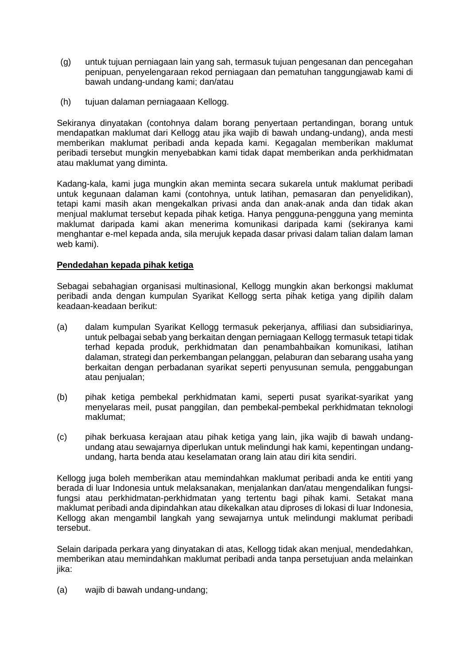- (g) untuk tujuan perniagaan lain yang sah, termasuk tujuan pengesanan dan pencegahan penipuan, penyelengaraan rekod perniagaan dan pematuhan tanggungjawab kami di bawah undang-undang kami; dan/atau
- (h) tujuan dalaman perniagaaan Kellogg.

Sekiranya dinyatakan (contohnya dalam borang penyertaan pertandingan, borang untuk mendapatkan maklumat dari Kellogg atau jika wajib di bawah undang-undang), anda mesti memberikan maklumat peribadi anda kepada kami. Kegagalan memberikan maklumat peribadi tersebut mungkin menyebabkan kami tidak dapat memberikan anda perkhidmatan atau maklumat yang diminta.

Kadang-kala, kami juga mungkin akan meminta secara sukarela untuk maklumat peribadi untuk kegunaan dalaman kami (contohnya, untuk latihan, pemasaran dan penyelidikan), tetapi kami masih akan mengekalkan privasi anda dan anak-anak anda dan tidak akan menjual maklumat tersebut kepada pihak ketiga. Hanya pengguna-pengguna yang meminta maklumat daripada kami akan menerima komunikasi daripada kami (sekiranya kami menghantar e-mel kepada anda, sila merujuk kepada dasar privasi dalam talian dalam laman web kami).

# **Pendedahan kepada pihak ketiga**

Sebagai sebahagian organisasi multinasional, Kellogg mungkin akan berkongsi maklumat peribadi anda dengan kumpulan Syarikat Kellogg serta pihak ketiga yang dipilih dalam keadaan-keadaan berikut:

- (a) dalam kumpulan Syarikat Kellogg termasuk pekerjanya, affiliasi dan subsidiarinya, untuk pelbagai sebab yang berkaitan dengan perniagaan Kellogg termasuk tetapi tidak terhad kepada produk, perkhidmatan dan penambahbaikan komunikasi, latihan dalaman, strategi dan perkembangan pelanggan, pelaburan dan sebarang usaha yang berkaitan dengan perbadanan syarikat seperti penyusunan semula, penggabungan atau penjualan;
- (b) pihak ketiga pembekal perkhidmatan kami, seperti pusat syarikat-syarikat yang menyelaras meil, pusat panggilan, dan pembekal-pembekal perkhidmatan teknologi maklumat;
- (c) pihak berkuasa kerajaan atau pihak ketiga yang lain, jika wajib di bawah undangundang atau sewajarnya diperlukan untuk melindungi hak kami, kepentingan undangundang, harta benda atau keselamatan orang lain atau diri kita sendiri.

Kellogg juga boleh memberikan atau memindahkan maklumat peribadi anda ke entiti yang berada di luar Indonesia untuk melaksanakan, menjalankan dan/atau mengendalikan fungsifungsi atau perkhidmatan-perkhidmatan yang tertentu bagi pihak kami. Setakat mana maklumat peribadi anda dipindahkan atau dikekalkan atau diproses di lokasi di luar Indonesia, Kellogg akan mengambil langkah yang sewajarnya untuk melindungi maklumat peribadi tersebut.

Selain daripada perkara yang dinyatakan di atas, Kellogg tidak akan menjual, mendedahkan, memberikan atau memindahkan maklumat peribadi anda tanpa persetujuan anda melainkan jika:

(a) wajib di bawah undang-undang;